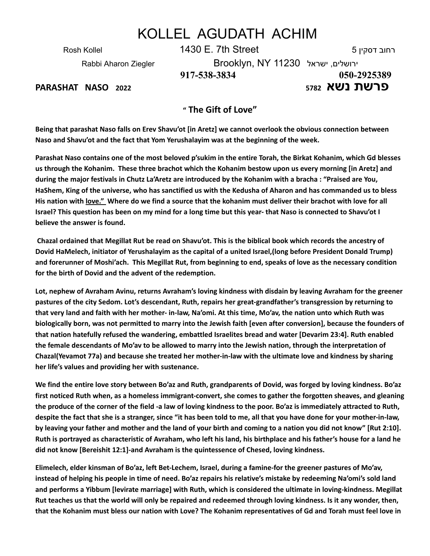## KOLLEL AGUDATH ACHIM

Rosh Kollel 1430 E. 7th Street 5 דסקין רחוב Rabbi Aharon Ziegler Brooklyn, NY 11230 ישראל ,ירושלים

**917-538-3834 050-2925389 פרשת נשא <sup>5782</sup> <sup>2022</sup> NASO PARASHAT**

## **" The Gift of Love"**

Being that parashat Naso falls on Erev Shavu'ot [in Aretz] we cannot overlook the obvious connection between **Naso and Shavu'ot and the fact that Yom Yerushalayim was at the beginning of the week.**

Parashat Naso contains one of the most beloved p'sukim in the entire Torah, the Birkat Kohanim, which Gd blesses us through the Kohanim. These three brachot which the Kohanim bestow upon us every morning [in Aretz] and during the major festivals in Chutz La'Aretz are introduced by the Kohanim with a bracha: "Praised are You, HaShem, King of the universe, who has sanctified us with the Kedusha of Aharon and has commanded us to bless His nation with love." Where do we find a source that the kohanim must deliver their brachot with love for all Israel? This question has been on my mind for a long time but this year-that Naso is connected to Shavu'ot I **believe the answer is found.**

Chazal ordained that Megillat Rut be read on Shavu'ot. This is the biblical book which records the ancestry of **Dovid HaMelech, initiator of Yerushalayim as the capital of a united Israel,(long before President Donald Trump)** and forerunner of Moshi'ach. This Megillat Rut, from beginning to end, speaks of love as the necessary condition **for the birth of Dovid and the advent of the redemption.**

Lot, nephew of Avraham Avinu, returns Avraham's loving kindness with disdain by leaving Avraham for the greener **pastures of the city Sedom. Lot's descendant, Ruth, repairs her great-grandfather's transgression by returning to** that very land and faith with her mother- in-law, Na'omi. At this time, Mo'av, the nation unto which Ruth was biologically born, was not permitted to marry into the Jewish faith [even after conversion], because the founders of **that nation hatefully refused the wandering, embattled Israelites bread and water [Devarim 23:4]. Ruth enabled** the female descendants of Mo'av to be allowed to marry into the Jewish nation, through the interpretation of **Chazal(Yevamot 77a) and because she treated her mother-in-law with the ultimate love and kindness by sharing her life's values and providing her with sustenance.**

We find the entire love story between Bo'az and Ruth, grandparents of Dovid, was forged by loving kindness. Bo'az first noticed Ruth when, as a homeless immigrant-convert, she comes to gather the forgotten sheaves, and gleaning the produce of the corner of the field -a law of loving kindness to the poor. Bo'az is immediately attracted to Ruth, despite the fact that she is a stranger, since "it has been told to me, all that you have done for your mother-in-law, by leaving your father and mother and the land of your birth and coming to a nation you did not know" [Rut 2:10]. Ruth is portrayed as characteristic of Avraham, who left his land, his birthplace and his father's house for a land he **did not know [Bereishit 12:1]-and Avraham is the quintessence of Chesed, loving kindness.**

**Elimelech, elder kinsman of Bo'az, left Bet-Lechem, Israel, during a famine-for the greener pastures of Mo'av,** instead of helping his people in time of need. Bo'az repairs his relative's mistake by redeeming Na'omi's sold land and performs a Yibbum [levirate marriage] with Ruth, which is considered the ultimate in loving-kindness. Megillat Rut teaches us that the world will only be repaired and redeemed through loving kindness. Is it any wonder, then, that the Kohanim must bless our nation with Love? The Kohanim representatives of Gd and Torah must feel love in